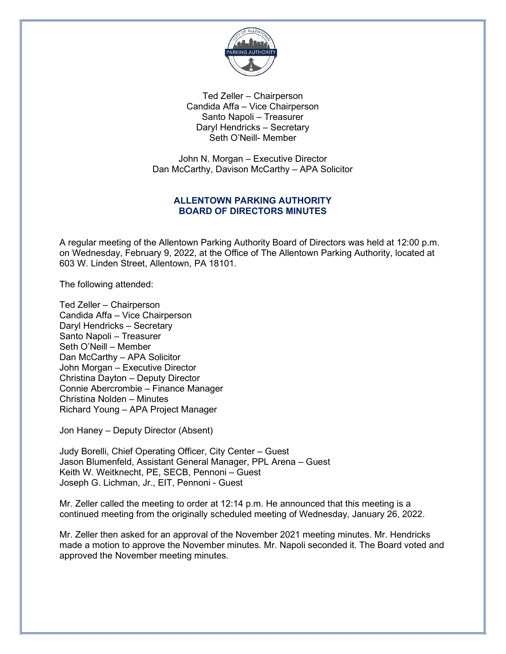

Ted Zeller – Chairperson Candida Affa – Vice Chairperson Santo Napoli – Treasurer Daryl Hendricks – Secretary Seth O'Neill- Member

John N. Morgan – Executive Director Dan McCarthy, Davison McCarthy – APA Solicitor

## ALLENTOWN PARKING AUTHORITY BOARD OF DIRECTORS MINUTES

A regular meeting of the Allentown Parking Authority Board of Directors was held at 12:00 p.m. on Wednesday, February 9, 2022, at the Office of The Allentown Parking Authority, located at 603 W. Linden Street, Allentown, PA 18101.

The following attended:

Ted Zeller – Chairperson Candida Affa – Vice Chairperson Daryl Hendricks – Secretary Santo Napoli – Treasurer Seth O'Neill – Member Dan McCarthy – APA Solicitor John Morgan – Executive Director Christina Dayton – Deputy Director Connie Abercrombie – Finance Manager Christina Nolden – Minutes Richard Young – APA Project Manager

Jon Haney – Deputy Director (Absent)

Judy Borelli, Chief Operating Officer, City Center – Guest Jason Blumenfeld, Assistant General Manager, PPL Arena – Guest Keith W. Weitknecht, PE, SECB, Pennoni – Guest Joseph G. Lichman, Jr., EIT, Pennoni - Guest

Mr. Zeller called the meeting to order at 12:14 p.m. He announced that this meeting is a continued meeting from the originally scheduled meeting of Wednesday, January 26, 2022.

Mr. Zeller then asked for an approval of the November 2021 meeting minutes. Mr. Hendricks made a motion to approve the November minutes. Mr. Napoli seconded it. The Board voted and approved the November meeting minutes.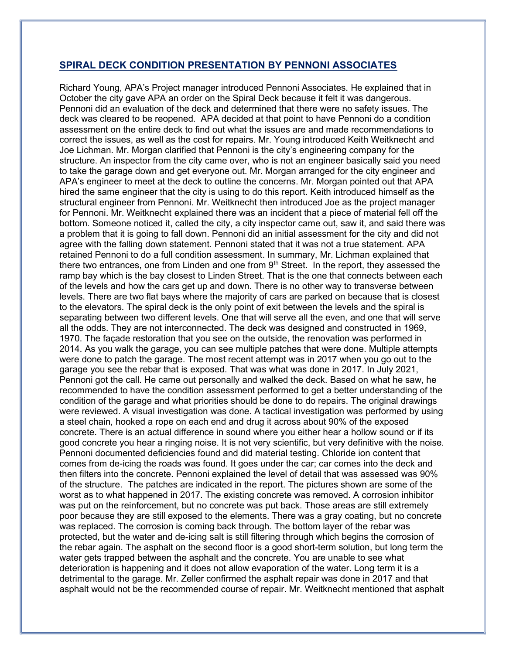### SPIRAL DECK CONDITION PRESENTATION BY PENNONI ASSOCIATES

Richard Young, APA's Project manager introduced Pennoni Associates. He explained that in October the city gave APA an order on the Spiral Deck because it felt it was dangerous. Pennoni did an evaluation of the deck and determined that there were no safety issues. The deck was cleared to be reopened. APA decided at that point to have Pennoni do a condition assessment on the entire deck to find out what the issues are and made recommendations to correct the issues, as well as the cost for repairs. Mr. Young introduced Keith Weitknecht and Joe Lichman. Mr. Morgan clarified that Pennoni is the city's engineering company for the structure. An inspector from the city came over, who is not an engineer basically said you need to take the garage down and get everyone out. Mr. Morgan arranged for the city engineer and APA's engineer to meet at the deck to outline the concerns. Mr. Morgan pointed out that APA hired the same engineer that the city is using to do this report. Keith introduced himself as the structural engineer from Pennoni. Mr. Weitknecht then introduced Joe as the project manager for Pennoni. Mr. Weitknecht explained there was an incident that a piece of material fell off the bottom. Someone noticed it, called the city, a city inspector came out, saw it, and said there was a problem that it is going to fall down. Pennoni did an initial assessment for the city and did not agree with the falling down statement. Pennoni stated that it was not a true statement. APA retained Pennoni to do a full condition assessment. In summary, Mr. Lichman explained that there two entrances, one from Linden and one from  $9<sup>th</sup>$  Street. In the report, they assessed the ramp bay which is the bay closest to Linden Street. That is the one that connects between each of the levels and how the cars get up and down. There is no other way to transverse between levels. There are two flat bays where the majority of cars are parked on because that is closest to the elevators. The spiral deck is the only point of exit between the levels and the spiral is separating between two different levels. One that will serve all the even, and one that will serve all the odds. They are not interconnected. The deck was designed and constructed in 1969, 1970. The façade restoration that you see on the outside, the renovation was performed in 2014. As you walk the garage, you can see multiple patches that were done. Multiple attempts were done to patch the garage. The most recent attempt was in 2017 when you go out to the garage you see the rebar that is exposed. That was what was done in 2017. In July 2021, Pennoni got the call. He came out personally and walked the deck. Based on what he saw, he recommended to have the condition assessment performed to get a better understanding of the condition of the garage and what priorities should be done to do repairs. The original drawings were reviewed. A visual investigation was done. A tactical investigation was performed by using a steel chain, hooked a rope on each end and drug it across about 90% of the exposed concrete. There is an actual difference in sound where you either hear a hollow sound or if its good concrete you hear a ringing noise. It is not very scientific, but very definitive with the noise. Pennoni documented deficiencies found and did material testing. Chloride ion content that comes from de-icing the roads was found. It goes under the car; car comes into the deck and then filters into the concrete. Pennoni explained the level of detail that was assessed was 90% of the structure. The patches are indicated in the report. The pictures shown are some of the worst as to what happened in 2017. The existing concrete was removed. A corrosion inhibitor was put on the reinforcement, but no concrete was put back. Those areas are still extremely poor because they are still exposed to the elements. There was a gray coating, but no concrete was replaced. The corrosion is coming back through. The bottom layer of the rebar was protected, but the water and de-icing salt is still filtering through which begins the corrosion of the rebar again. The asphalt on the second floor is a good short-term solution, but long term the water gets trapped between the asphalt and the concrete. You are unable to see what deterioration is happening and it does not allow evaporation of the water. Long term it is a detrimental to the garage. Mr. Zeller confirmed the asphalt repair was done in 2017 and that asphalt would not be the recommended course of repair. Mr. Weitknecht mentioned that asphalt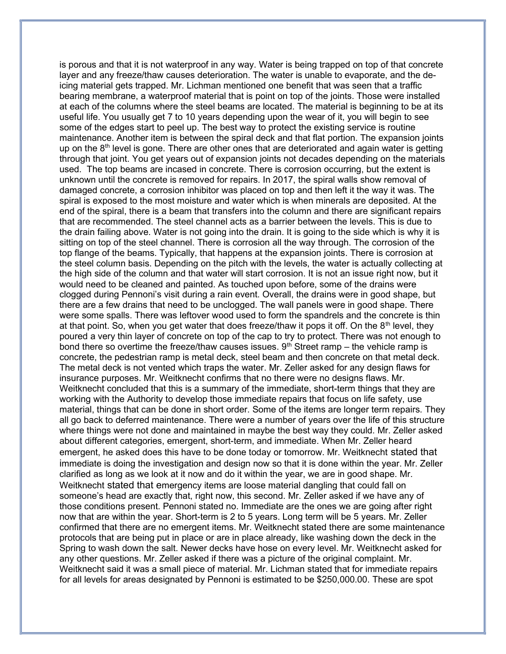is porous and that it is not waterproof in any way. Water is being trapped on top of that concrete layer and any freeze/thaw causes deterioration. The water is unable to evaporate, and the deicing material gets trapped. Mr. Lichman mentioned one benefit that was seen that a traffic bearing membrane, a waterproof material that is point on top of the joints. Those were installed at each of the columns where the steel beams are located. The material is beginning to be at its useful life. You usually get 7 to 10 years depending upon the wear of it, you will begin to see some of the edges start to peel up. The best way to protect the existing service is routine maintenance. Another item is between the spiral deck and that flat portion. The expansion joints up on the  $8<sup>th</sup>$  level is gone. There are other ones that are deteriorated and again water is getting through that joint. You get years out of expansion joints not decades depending on the materials used. The top beams are incased in concrete. There is corrosion occurring, but the extent is unknown until the concrete is removed for repairs. In 2017, the spiral walls show removal of damaged concrete, a corrosion inhibitor was placed on top and then left it the way it was. The spiral is exposed to the most moisture and water which is when minerals are deposited. At the end of the spiral, there is a beam that transfers into the column and there are significant repairs that are recommended. The steel channel acts as a barrier between the levels. This is due to the drain failing above. Water is not going into the drain. It is going to the side which is why it is sitting on top of the steel channel. There is corrosion all the way through. The corrosion of the top flange of the beams. Typically, that happens at the expansion joints. There is corrosion at the steel column basis. Depending on the pitch with the levels, the water is actually collecting at the high side of the column and that water will start corrosion. It is not an issue right now, but it would need to be cleaned and painted. As touched upon before, some of the drains were clogged during Pennoni's visit during a rain event. Overall, the drains were in good shape, but there are a few drains that need to be unclogged. The wall panels were in good shape. There were some spalls. There was leftover wood used to form the spandrels and the concrete is thin at that point. So, when you get water that does freeze/thaw it pops it off. On the  $8<sup>th</sup>$  level, they poured a very thin layer of concrete on top of the cap to try to protect. There was not enough to bond there so overtime the freeze/thaw causes issues.  $9<sup>th</sup>$  Street ramp – the vehicle ramp is concrete, the pedestrian ramp is metal deck, steel beam and then concrete on that metal deck. The metal deck is not vented which traps the water. Mr. Zeller asked for any design flaws for insurance purposes. Mr. Weitknecht confirms that no there were no designs flaws. Mr. Weitknecht concluded that this is a summary of the immediate, short-term things that they are working with the Authority to develop those immediate repairs that focus on life safety, use material, things that can be done in short order. Some of the items are longer term repairs. They all go back to deferred maintenance. There were a number of years over the life of this structure where things were not done and maintained in maybe the best way they could. Mr. Zeller asked about different categories, emergent, short-term, and immediate. When Mr. Zeller heard emergent, he asked does this have to be done today or tomorrow. Mr. Weitknecht stated that immediate is doing the investigation and design now so that it is done within the year. Mr. Zeller clarified as long as we look at it now and do it within the year, we are in good shape. Mr. Weitknecht stated that emergency items are loose material dangling that could fall on someone's head are exactly that, right now, this second. Mr. Zeller asked if we have any of those conditions present. Pennoni stated no. Immediate are the ones we are going after right now that are within the year. Short-term is 2 to 5 years. Long term will be 5 years. Mr. Zeller confirmed that there are no emergent items. Mr. Weitknecht stated there are some maintenance protocols that are being put in place or are in place already, like washing down the deck in the Spring to wash down the salt. Newer decks have hose on every level. Mr. Weitknecht asked for any other questions. Mr. Zeller asked if there was a picture of the original complaint. Mr. Weitknecht said it was a small piece of material. Mr. Lichman stated that for immediate repairs for all levels for areas designated by Pennoni is estimated to be \$250,000.00. These are spot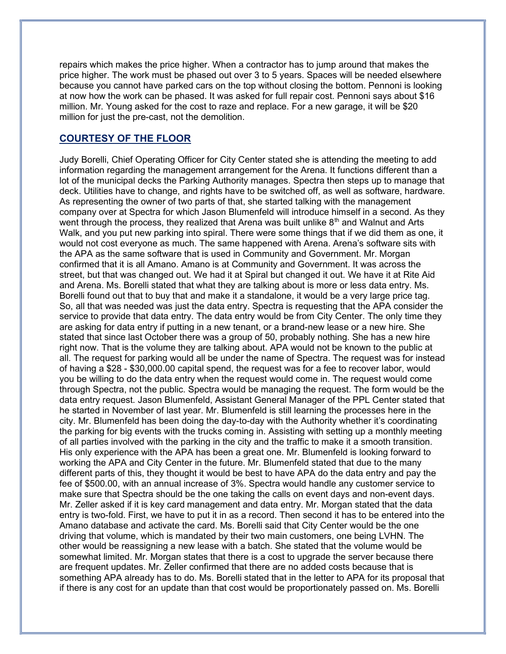repairs which makes the price higher. When a contractor has to jump around that makes the price higher. The work must be phased out over 3 to 5 years. Spaces will be needed elsewhere because you cannot have parked cars on the top without closing the bottom. Pennoni is looking at now how the work can be phased. It was asked for full repair cost. Pennoni says about \$16 million. Mr. Young asked for the cost to raze and replace. For a new garage, it will be \$20 million for just the pre-cast, not the demolition.

# COURTESY OF THE FLOOR

Judy Borelli, Chief Operating Officer for City Center stated she is attending the meeting to add information regarding the management arrangement for the Arena. It functions different than a lot of the municipal decks the Parking Authority manages. Spectra then steps up to manage that deck. Utilities have to change, and rights have to be switched off, as well as software, hardware. As representing the owner of two parts of that, she started talking with the management company over at Spectra for which Jason Blumenfeld will introduce himself in a second. As they went through the process, they realized that Arena was built unlike  $8<sup>th</sup>$  and Walnut and Arts Walk, and you put new parking into spiral. There were some things that if we did them as one, it would not cost everyone as much. The same happened with Arena. Arena's software sits with the APA as the same software that is used in Community and Government. Mr. Morgan confirmed that it is all Amano. Amano is at Community and Government. It was across the street, but that was changed out. We had it at Spiral but changed it out. We have it at Rite Aid and Arena. Ms. Borelli stated that what they are talking about is more or less data entry. Ms. Borelli found out that to buy that and make it a standalone, it would be a very large price tag. So, all that was needed was just the data entry. Spectra is requesting that the APA consider the service to provide that data entry. The data entry would be from City Center. The only time they are asking for data entry if putting in a new tenant, or a brand-new lease or a new hire. She stated that since last October there was a group of 50, probably nothing. She has a new hire right now. That is the volume they are talking about. APA would not be known to the public at all. The request for parking would all be under the name of Spectra. The request was for instead of having a \$28 - \$30,000.00 capital spend, the request was for a fee to recover labor, would you be willing to do the data entry when the request would come in. The request would come through Spectra, not the public. Spectra would be managing the request. The form would be the data entry request. Jason Blumenfeld, Assistant General Manager of the PPL Center stated that he started in November of last year. Mr. Blumenfeld is still learning the processes here in the city. Mr. Blumenfeld has been doing the day-to-day with the Authority whether it's coordinating the parking for big events with the trucks coming in. Assisting with setting up a monthly meeting of all parties involved with the parking in the city and the traffic to make it a smooth transition. His only experience with the APA has been a great one. Mr. Blumenfeld is looking forward to working the APA and City Center in the future. Mr. Blumenfeld stated that due to the many different parts of this, they thought it would be best to have APA do the data entry and pay the fee of \$500.00, with an annual increase of 3%. Spectra would handle any customer service to make sure that Spectra should be the one taking the calls on event days and non-event days. Mr. Zeller asked if it is key card management and data entry. Mr. Morgan stated that the data entry is two-fold. First, we have to put it in as a record. Then second it has to be entered into the Amano database and activate the card. Ms. Borelli said that City Center would be the one driving that volume, which is mandated by their two main customers, one being LVHN. The other would be reassigning a new lease with a batch. She stated that the volume would be somewhat limited. Mr. Morgan states that there is a cost to upgrade the server because there are frequent updates. Mr. Zeller confirmed that there are no added costs because that is something APA already has to do. Ms. Borelli stated that in the letter to APA for its proposal that if there is any cost for an update than that cost would be proportionately passed on. Ms. Borelli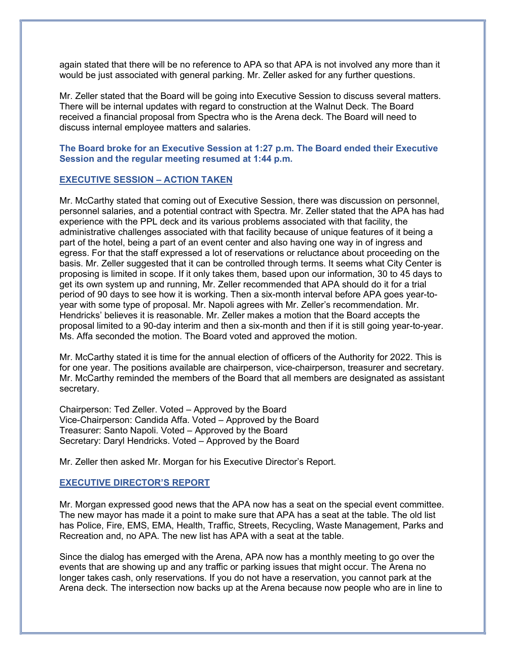again stated that there will be no reference to APA so that APA is not involved any more than it would be just associated with general parking. Mr. Zeller asked for any further questions.

Mr. Zeller stated that the Board will be going into Executive Session to discuss several matters. There will be internal updates with regard to construction at the Walnut Deck. The Board received a financial proposal from Spectra who is the Arena deck. The Board will need to discuss internal employee matters and salaries.

### The Board broke for an Executive Session at 1:27 p.m. The Board ended their Executive Session and the regular meeting resumed at 1:44 p.m.

#### EXECUTIVE SESSION – ACTION TAKEN

Mr. McCarthy stated that coming out of Executive Session, there was discussion on personnel, personnel salaries, and a potential contract with Spectra. Mr. Zeller stated that the APA has had experience with the PPL deck and its various problems associated with that facility, the administrative challenges associated with that facility because of unique features of it being a part of the hotel, being a part of an event center and also having one way in of ingress and egress. For that the staff expressed a lot of reservations or reluctance about proceeding on the basis. Mr. Zeller suggested that it can be controlled through terms. It seems what City Center is proposing is limited in scope. If it only takes them, based upon our information, 30 to 45 days to get its own system up and running, Mr. Zeller recommended that APA should do it for a trial period of 90 days to see how it is working. Then a six-month interval before APA goes year-toyear with some type of proposal. Mr. Napoli agrees with Mr. Zeller's recommendation. Mr. Hendricks' believes it is reasonable. Mr. Zeller makes a motion that the Board accepts the proposal limited to a 90-day interim and then a six-month and then if it is still going year-to-year. Ms. Affa seconded the motion. The Board voted and approved the motion.

Mr. McCarthy stated it is time for the annual election of officers of the Authority for 2022. This is for one year. The positions available are chairperson, vice-chairperson, treasurer and secretary. Mr. McCarthy reminded the members of the Board that all members are designated as assistant secretary.

Chairperson: Ted Zeller. Voted – Approved by the Board Vice-Chairperson: Candida Affa. Voted – Approved by the Board Treasurer: Santo Napoli. Voted – Approved by the Board Secretary: Daryl Hendricks. Voted – Approved by the Board

Mr. Zeller then asked Mr. Morgan for his Executive Director's Report.

#### EXECUTIVE DIRECTOR'S REPORT

Mr. Morgan expressed good news that the APA now has a seat on the special event committee. The new mayor has made it a point to make sure that APA has a seat at the table. The old list has Police, Fire, EMS, EMA, Health, Traffic, Streets, Recycling, Waste Management, Parks and Recreation and, no APA. The new list has APA with a seat at the table.

Since the dialog has emerged with the Arena, APA now has a monthly meeting to go over the events that are showing up and any traffic or parking issues that might occur. The Arena no longer takes cash, only reservations. If you do not have a reservation, you cannot park at the Arena deck. The intersection now backs up at the Arena because now people who are in line to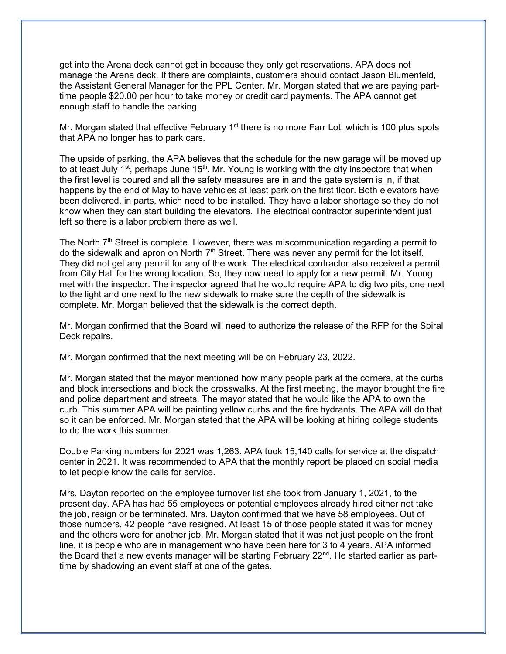get into the Arena deck cannot get in because they only get reservations. APA does not manage the Arena deck. If there are complaints, customers should contact Jason Blumenfeld, the Assistant General Manager for the PPL Center. Mr. Morgan stated that we are paying parttime people \$20.00 per hour to take money or credit card payments. The APA cannot get enough staff to handle the parking.

Mr. Morgan stated that effective February 1<sup>st</sup> there is no more Farr Lot, which is 100 plus spots that APA no longer has to park cars.

The upside of parking, the APA believes that the schedule for the new garage will be moved up to at least July  $1<sup>st</sup>$ , perhaps June  $15<sup>th</sup>$ . Mr. Young is working with the city inspectors that when the first level is poured and all the safety measures are in and the gate system is in, if that happens by the end of May to have vehicles at least park on the first floor. Both elevators have been delivered, in parts, which need to be installed. They have a labor shortage so they do not know when they can start building the elevators. The electrical contractor superintendent just left so there is a labor problem there as well.

The North  $7<sup>th</sup>$  Street is complete. However, there was miscommunication regarding a permit to do the sidewalk and apron on North  $7<sup>th</sup>$  Street. There was never any permit for the lot itself. They did not get any permit for any of the work. The electrical contractor also received a permit from City Hall for the wrong location. So, they now need to apply for a new permit. Mr. Young met with the inspector. The inspector agreed that he would require APA to dig two pits, one next to the light and one next to the new sidewalk to make sure the depth of the sidewalk is complete. Mr. Morgan believed that the sidewalk is the correct depth.

Mr. Morgan confirmed that the Board will need to authorize the release of the RFP for the Spiral Deck repairs.

Mr. Morgan confirmed that the next meeting will be on February 23, 2022.

Mr. Morgan stated that the mayor mentioned how many people park at the corners, at the curbs and block intersections and block the crosswalks. At the first meeting, the mayor brought the fire and police department and streets. The mayor stated that he would like the APA to own the curb. This summer APA will be painting yellow curbs and the fire hydrants. The APA will do that so it can be enforced. Mr. Morgan stated that the APA will be looking at hiring college students to do the work this summer.

Double Parking numbers for 2021 was 1,263. APA took 15,140 calls for service at the dispatch center in 2021. It was recommended to APA that the monthly report be placed on social media to let people know the calls for service.

Mrs. Dayton reported on the employee turnover list she took from January 1, 2021, to the present day. APA has had 55 employees or potential employees already hired either not take the job, resign or be terminated. Mrs. Dayton confirmed that we have 58 employees. Out of those numbers, 42 people have resigned. At least 15 of those people stated it was for money and the others were for another job. Mr. Morgan stated that it was not just people on the front line, it is people who are in management who have been here for 3 to 4 years. APA informed the Board that a new events manager will be starting February  $22<sup>nd</sup>$ . He started earlier as parttime by shadowing an event staff at one of the gates.